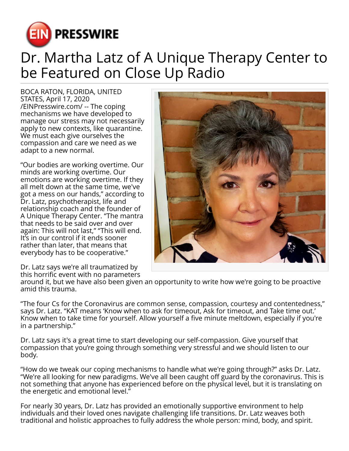

## Dr. Martha Latz of A Unique Therapy Center to be Featured on Close Up Radio

BOCA RATON, FLORIDA, UNITED STATES, April 17, 2020 [/EINPresswire.com/](http://www.einpresswire.com) -- The coping mechanisms we have developed to manage our stress may not necessarily apply to new contexts, like quarantine. We must each give ourselves the compassion and care we need as we adapt to a new normal.

"Our bodies are working overtime. Our minds are working overtime. Our emotions are working overtime. If they all melt down at the same time, we've got a mess on our hands," according to Dr. Latz, psychotherapist, life and relationship coach and the founder of A Unique Therapy Center. "The mantra that needs to be said over and over again: This will not last," "This will end. It's in our control if it ends sooner rather than later, that means that everybody has to be cooperative."

Dr. Latz says we're all traumatized by this horrific event with no parameters

around it, but we have also been given an opportunity to write how we're going to be proactive amid this trauma.

"The four Cs for the Coronavirus are common sense, compassion, courtesy and contentedness," says Dr. Latz. "KAT means 'Know when to ask for timeout, Ask for timeout, and Take time out.' Know when to take time for yourself. Allow yourself a five minute meltdown, especially if you're in a partnership."

Dr. Latz says it's a great time to start developing our self-compassion. Give yourself that compassion that you're going through something very stressful and we should listen to our body.

"How do we tweak our coping mechanisms to handle what we're going through?" asks Dr. Latz. "We're all looking for new paradigms. We've all been caught off guard by the coronavirus. This is not something that anyone has experienced before on the physical level, but it is translating on the energetic and emotional level."

For nearly 30 years, Dr. Latz has provided an emotionally supportive environment to help individuals and their loved ones navigate challenging life transitions. Dr. Latz weaves both traditional and holistic approaches to fully address the whole person: mind, body, and spirit.